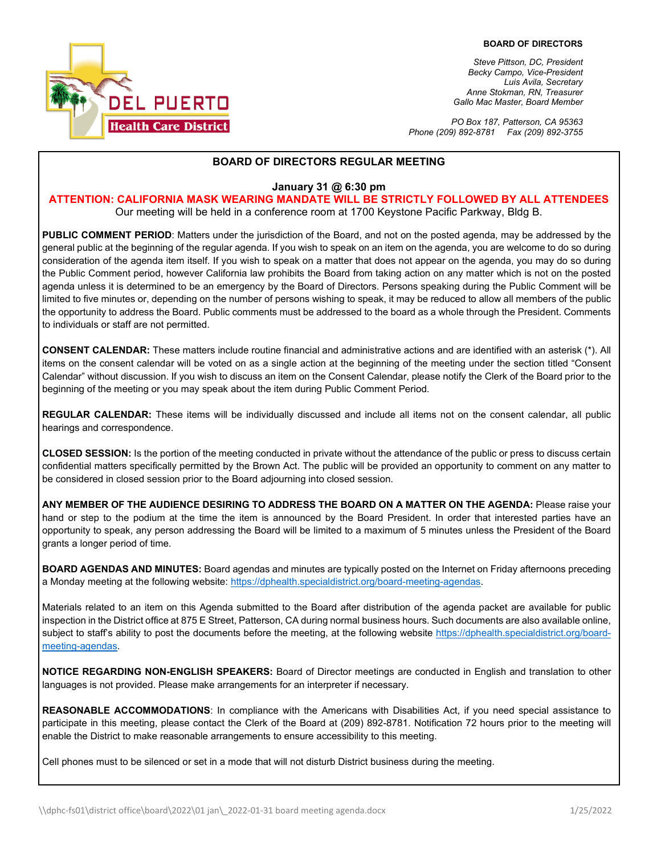

*Steve Pittson, DC, President Becky Campo, Vice-President Luis Avila, Secretary Anne Stokman, RN, Treasurer Gallo Mac Master, Board Member*

*PO Box 187, Patterson, CA 95363 Phone (209) 892-8781 Fax (209) 892-3755*

#### **BOARD OF DIRECTORS REGULAR MEETING**

**January 31 @ 6:30 pm** 

**ATTENTION: CALIFORNIA MASK WEARING MANDATE WILL BE STRICTLY FOLLOWED BY ALL ATTENDEES**

Our meeting will be held in a conference room at 1700 Keystone Pacific Parkway, Bldg B.

**PUBLIC COMMENT PERIOD**: Matters under the jurisdiction of the Board, and not on the posted agenda, may be addressed by the general public at the beginning of the regular agenda. If you wish to speak on an item on the agenda, you are welcome to do so during consideration of the agenda item itself. If you wish to speak on a matter that does not appear on the agenda, you may do so during the Public Comment period, however California law prohibits the Board from taking action on any matter which is not on the posted agenda unless it is determined to be an emergency by the Board of Directors. Persons speaking during the Public Comment will be limited to five minutes or, depending on the number of persons wishing to speak, it may be reduced to allow all members of the public the opportunity to address the Board. Public comments must be addressed to the board as a whole through the President. Comments to individuals or staff are not permitted.

**CONSENT CALENDAR:** These matters include routine financial and administrative actions and are identified with an asterisk (\*). All items on the consent calendar will be voted on as a single action at the beginning of the meeting under the section titled "Consent Calendar" without discussion. If you wish to discuss an item on the Consent Calendar, please notify the Clerk of the Board prior to the beginning of the meeting or you may speak about the item during Public Comment Period.

**REGULAR CALENDAR:** These items will be individually discussed and include all items not on the consent calendar, all public hearings and correspondence.

**CLOSED SESSION:** Is the portion of the meeting conducted in private without the attendance of the public or press to discuss certain confidential matters specifically permitted by the Brown Act. The public will be provided an opportunity to comment on any matter to be considered in closed session prior to the Board adjourning into closed session.

**ANY MEMBER OF THE AUDIENCE DESIRING TO ADDRESS THE BOARD ON A MATTER ON THE AGENDA:** Please raise your hand or step to the podium at the time the item is announced by the Board President. In order that interested parties have an opportunity to speak, any person addressing the Board will be limited to a maximum of 5 minutes unless the President of the Board grants a longer period of time.

**BOARD AGENDAS AND MINUTES:** Board agendas and minutes are typically posted on the Internet on Friday afternoons preceding a Monday meeting at the following website: [https://dphealth.specialdistrict.org/board-meeting-agendas.](https://dphealth.specialdistrict.org/board-meeting-agendas) 

Materials related to an item on this Agenda submitted to the Board after distribution of the agenda packet are available for public inspection in the District office at 875 E Street, Patterson, CA during normal business hours. Such documents are also available online, subject to staff's ability to post the documents before the meeting, at the following website [https://dphealth.specialdistrict.org/board](https://dphealth.specialdistrict.org/board-meeting-agendas)[meeting-agendas.](https://dphealth.specialdistrict.org/board-meeting-agendas)

**NOTICE REGARDING NON-ENGLISH SPEAKERS:** Board of Director meetings are conducted in English and translation to other languages is not provided. Please make arrangements for an interpreter if necessary.

**REASONABLE ACCOMMODATIONS**: In compliance with the Americans with Disabilities Act, if you need special assistance to participate in this meeting, please contact the Clerk of the Board at (209) 892-8781. Notification 72 hours prior to the meeting will enable the District to make reasonable arrangements to ensure accessibility to this meeting.

Cell phones must to be silenced or set in a mode that will not disturb District business during the meeting.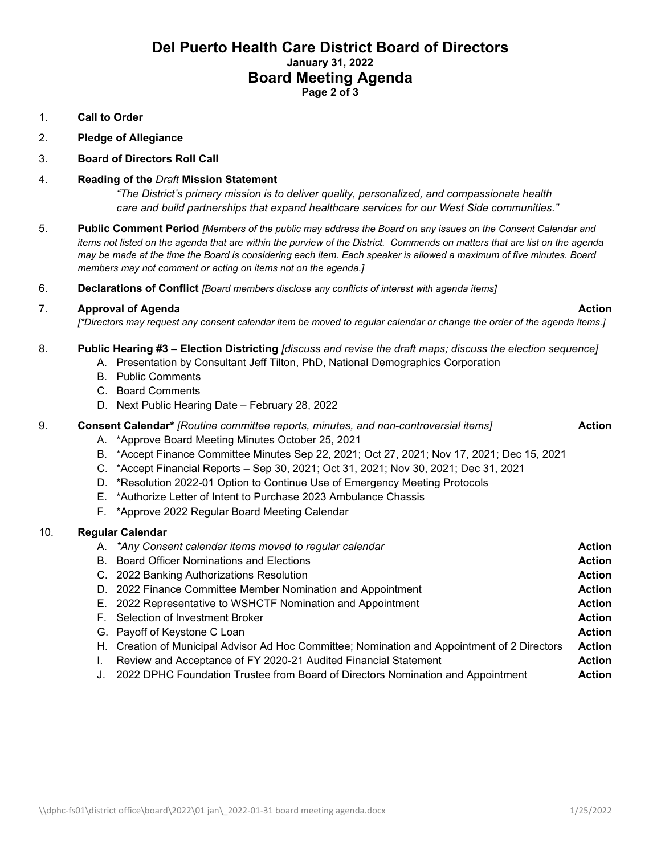# **Del Puerto Health Care District Board of Directors January 31, 2022 Board Meeting Agenda Page 2 of 3**

### 1. **Call to Order**

2. **Pledge of Allegiance** 

## 3. **Board of Directors Roll Call**

### 4. **Reading of the** *Draft* **Mission Statement**

*"The District's primary mission is to deliver quality, personalized, and compassionate health care and build partnerships that expand healthcare services for our West Side communities."*

- 5. **Public Comment Period** *[Members of the public may address the Board on any issues on the Consent Calendar and items not listed on the agenda that are within the purview of the District. Commends on matters that are list on the agenda may be made at the time the Board is considering each item. Each speaker is allowed a maximum of five minutes. Board members may not comment or acting on items not on the agenda.]*
- 6. **Declarations of Conflict** *[Board members disclose any conflicts of interest with agenda items]*

## 7. **Approval of Agenda Action**

*[\*Directors may request any consent calendar item be moved to regular calendar or change the order of the agenda items.]*

- 8. **Public Hearing #3 – Election Districting** *[discuss and revise the draft maps; discuss the election sequence]*
	- A. Presentation by Consultant Jeff Tilton, PhD, National Demographics Corporation
	- B. Public Comments
	- C. Board Comments
	- D. Next Public Hearing Date February 28, 2022

## 9. **Consent Calendar\*** *[Routine committee reports, minutes, and non-controversial items]* **Action**

- A. \*Approve Board Meeting Minutes October 25, 2021
- B. \*Accept Finance Committee Minutes Sep 22, 2021; Oct 27, 2021; Nov 17, 2021; Dec 15, 2021
- C. \*Accept Financial Reports Sep 30, 2021; Oct 31, 2021; Nov 30, 2021; Dec 31, 2021
- D. \*Resolution 2022-01 Option to Continue Use of Emergency Meeting Protocols
- E. \*Authorize Letter of Intent to Purchase 2023 Ambulance Chassis
- F. \*Approve 2022 Regular Board Meeting Calendar

#### 10. **Regular Calendar**

| A. *Any Consent calendar items moved to regular calendar                                     | <b>Action</b> |
|----------------------------------------------------------------------------------------------|---------------|
| B. Board Officer Nominations and Elections                                                   | <b>Action</b> |
| C. 2022 Banking Authorizations Resolution                                                    | <b>Action</b> |
| D. 2022 Finance Committee Member Nomination and Appointment                                  | <b>Action</b> |
| E. 2022 Representative to WSHCTF Nomination and Appointment                                  | <b>Action</b> |
| F. Selection of Investment Broker                                                            | <b>Action</b> |
| G. Payoff of Keystone C Loan                                                                 | <b>Action</b> |
| H. Creation of Municipal Advisor Ad Hoc Committee; Nomination and Appointment of 2 Directors | <b>Action</b> |
| Review and Acceptance of FY 2020-21 Audited Financial Statement                              | <b>Action</b> |
| J. 2022 DPHC Foundation Trustee from Board of Directors Nomination and Appointment           | <b>Action</b> |